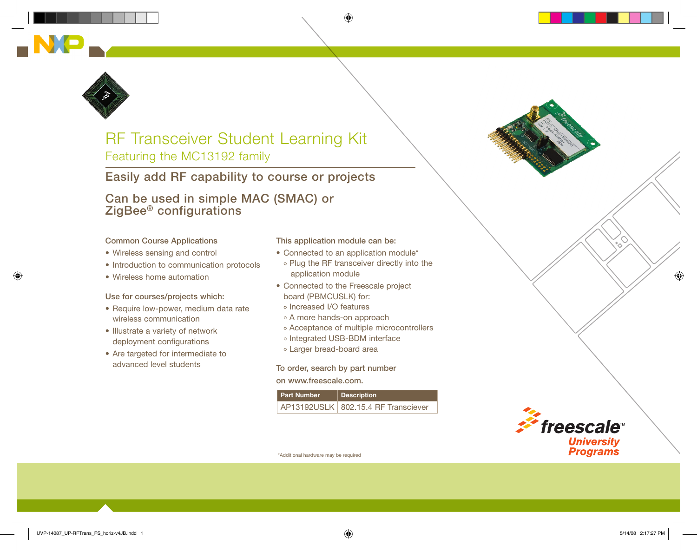



# RF Transceiver Student Learning Kit Featuring the MC13192 family

### Easily add RF capability to course or projects

Can be used in simple MAC (SMAC) or ZigBee® configurations

#### Common Course Applications

- Wireless sensing and control
- Introduction to communication protocols
- • Wireless home automation

#### Use for courses/projects which:

- Require low-power, medium data rate wireless communication
- Illustrate a variety of network deployment configurations
- Are targeted for intermediate to advanced level students

This application module can be:

- Connected to an application module\*
- o Plug the RF transceiver directly into the application module
- Connected to the Freescale project board (PBMCUSLK) for:
	- o Increased I/O features
	- o A more hands-on approach
	- Acceptance of multiple microcontrollers
	- o Integrated USB-BDM interface
	- Larger bread-board area

To order, search by part number on www.freescale.com.

| <b>Part Number</b> | Description                           |
|--------------------|---------------------------------------|
|                    | AP13192USLK   802.15.4 RF Transciever |



\*Additional hardware may be required